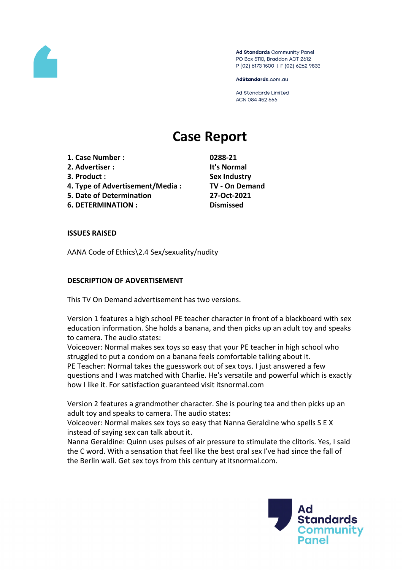

Ad Standards Community Panel PO Box 5110, Braddon ACT 2612 P (02) 6173 1500 | F (02) 6262 9833

AdStandards.com.au

Ad Standards Limited ACN 084 452 666

# **Case Report**

**1. Case Number : 0288-21**

- **2. Advertiser : It's Normal**
- 
- **4. Type of Advertisement/Media : TV - On Demand**
- **5. Date of Determination 27-Oct-2021**

**6. DETERMINATION : Dismissed**

**3. Product : Sex Industry**

# **ISSUES RAISED**

AANA Code of Ethics\2.4 Sex/sexuality/nudity

# **DESCRIPTION OF ADVERTISEMENT**

This TV On Demand advertisement has two versions.

Version 1 features a high school PE teacher character in front of a blackboard with sex education information. She holds a banana, and then picks up an adult toy and speaks to camera. The audio states:

Voiceover: Normal makes sex toys so easy that your PE teacher in high school who struggled to put a condom on a banana feels comfortable talking about it. PE Teacher: Normal takes the guesswork out of sex toys. I just answered a few questions and I was matched with Charlie. He's versatile and powerful which is exactly how I like it. For satisfaction guaranteed visit itsnormal.com

Version 2 features a grandmother character. She is pouring tea and then picks up an adult toy and speaks to camera. The audio states:

Voiceover: Normal makes sex toys so easy that Nanna Geraldine who spells S E X instead of saying sex can talk about it.

Nanna Geraldine: Quinn uses pulses of air pressure to stimulate the clitoris. Yes, I said the C word. With a sensation that feel like the best oral sex I've had since the fall of the Berlin wall. Get sex toys from this century at itsnormal.com.

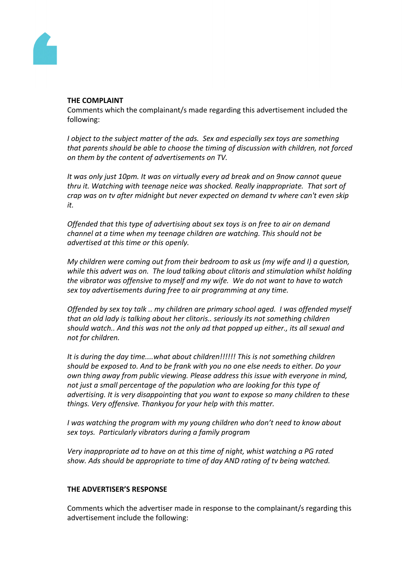

#### **THE COMPLAINT**

Comments which the complainant/s made regarding this advertisement included the following:

*I object to the subject matter of the ads. Sex and especially sex toys are something that parents should be able to choose the timing of discussion with children, not forced on them by the content of advertisements on TV.*

*It was only just 10pm. It was on virtually every ad break and on 9now cannot queue thru it. Watching with teenage neice was shocked. Really inappropriate. That sort of crap was on tv after midnight but never expected on demand tv where can't even skip it.*

*Offended that this type of advertising about sex toys is on free to air on demand channel at a time when my teenage children are watching. This should not be advertised at this time or this openly.*

*My children were coming out from their bedroom to ask us (my wife and I) a question, while this advert was on. The loud talking about clitoris and stimulation whilst holding the vibrator was offensive to myself and my wife. We do not want to have to watch sex toy advertisements during free to air programming at any time.*

*Offended by sex toy talk .. my children are primary school aged. I was offended myself that an old lady is talking about her clitoris.. seriously its not something children should watch.. And this was not the only ad that popped up either., its all sexual and not for children.*

*It is during the day time....what about children!!!!!! This is not something children should be exposed to. And to be frank with you no one else needs to either. Do your own thing away from public viewing. Please address this issue with everyone in mind, not just a small percentage of the population who are looking for this type of advertising. It is very disappointing that you want to expose so many children to these things. Very offensive. Thankyou for your help with this matter.*

*I was watching the program with my young children who don't need to know about sex toys. Particularly vibrators during a family program*

*Very inappropriate ad to have on at this time of night, whist watching a PG rated show. Ads should be appropriate to time of day AND rating of tv being watched.*

## **THE ADVERTISER'S RESPONSE**

Comments which the advertiser made in response to the complainant/s regarding this advertisement include the following: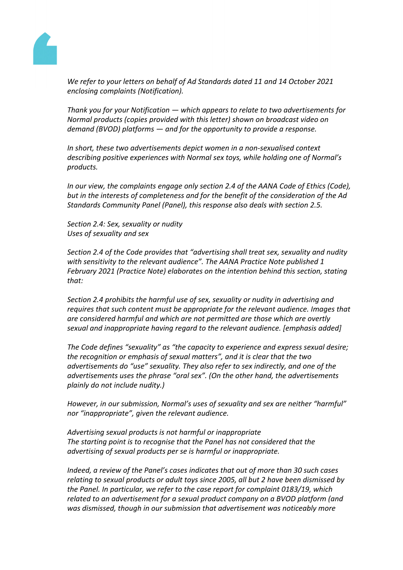

*We refer to your letters on behalf of Ad Standards dated 11 and 14 October 2021 enclosing complaints (Notification).*

*Thank you for your Notification — which appears to relate to two advertisements for Normal products (copies provided with this letter) shown on broadcast video on demand (BVOD) platforms — and for the opportunity to provide a response.*

*In short, these two advertisements depict women in a non-sexualised context describing positive experiences with Normal sex toys, while holding one of Normal's products.*

*In our view, the complaints engage only section 2.4 of the AANA Code of Ethics (Code), but in the interests of completeness and for the benefit of the consideration of the Ad Standards Community Panel (Panel), this response also deals with section 2.5.*

*Section 2.4: Sex, sexuality or nudity Uses of sexuality and sex*

*Section 2.4 of the Code provides that "advertising shall treat sex, sexuality and nudity with sensitivity to the relevant audience". The AANA Practice Note published 1 February 2021 (Practice Note) elaborates on the intention behind this section, stating that:*

*Section 2.4 prohibits the harmful use of sex, sexuality or nudity in advertising and requires that such content must be appropriate for the relevant audience. Images that are considered harmful and which are not permitted are those which are overtly sexual and inappropriate having regard to the relevant audience. [emphasis added]*

*The Code defines "sexuality" as "the capacity to experience and express sexual desire; the recognition or emphasis of sexual matters", and it is clear that the two advertisements do "use" sexuality. They also refer to sex indirectly, and one of the advertisements uses the phrase "oral sex". (On the other hand, the advertisements plainly do not include nudity.)*

*However, in our submission, Normal's uses of sexuality and sex are neither "harmful" nor "inappropriate", given the relevant audience.*

*Advertising sexual products is not harmful or inappropriate The starting point is to recognise that the Panel has not considered that the advertising of sexual products per se is harmful or inappropriate.*

*Indeed, a review of the Panel's cases indicates that out of more than 30 such cases relating to sexual products or adult toys since 2005, all but 2 have been dismissed by the Panel. In particular, we refer to the case report for complaint 0183/19, which related to an advertisement for a sexual product company on a BVOD platform (and was dismissed, though in our submission that advertisement was noticeably more*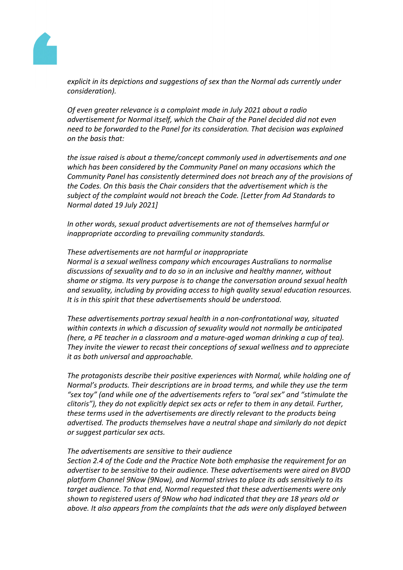

*explicit in its depictions and suggestions of sex than the Normal ads currently under consideration).*

*Of even greater relevance is a complaint made in July 2021 about a radio advertisement for Normal itself, which the Chair of the Panel decided did not even need to be forwarded to the Panel for its consideration. That decision was explained on the basis that:*

*the issue raised is about a theme/concept commonly used in advertisements and one which has been considered by the Community Panel on many occasions which the Community Panel has consistently determined does not breach any of the provisions of the Codes. On this basis the Chair considers that the advertisement which is the subject of the complaint would not breach the Code. [Letter from Ad Standards to Normal dated 19 July 2021]*

*In other words, sexual product advertisements are not of themselves harmful or inappropriate according to prevailing community standards.*

*These advertisements are not harmful or inappropriate Normal is a sexual wellness company which encourages Australians to normalise discussions of sexuality and to do so in an inclusive and healthy manner, without shame or stigma. Its very purpose is to change the conversation around sexual health and sexuality, including by providing access to high quality sexual education resources. It is in this spirit that these advertisements should be understood.*

*These advertisements portray sexual health in a non-confrontational way, situated within contexts in which a discussion of sexuality would not normally be anticipated (here, a PE teacher in a classroom and a mature-aged woman drinking a cup of tea). They invite the viewer to recast their conceptions of sexual wellness and to appreciate it as both universal and approachable.*

*The protagonists describe their positive experiences with Normal, while holding one of Normal's products. Their descriptions are in broad terms, and while they use the term "sex toy" (and while one of the advertisements refers to "oral sex" and "stimulate the clitoris"), they do not explicitly depict sex acts or refer to them in any detail. Further, these terms used in the advertisements are directly relevant to the products being advertised. The products themselves have a neutral shape and similarly do not depict or suggest particular sex acts.*

#### *The advertisements are sensitive to their audience*

*Section 2.4 of the Code and the Practice Note both emphasise the requirement for an advertiser to be sensitive to their audience. These advertisements were aired on BVOD platform Channel 9Now (9Now), and Normal strives to place its ads sensitively to its target audience. To that end, Normal requested that these advertisements were only shown to registered users of 9Now who had indicated that they are 18 years old or above. It also appears from the complaints that the ads were only displayed between*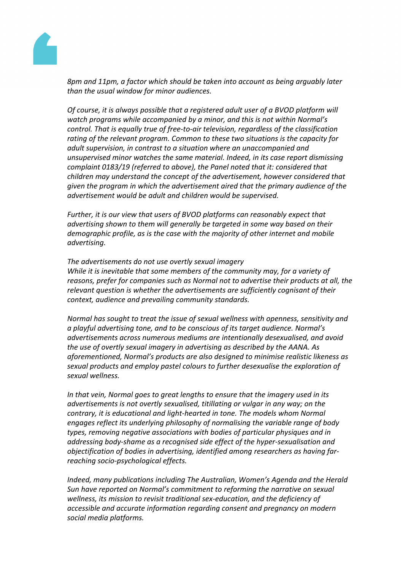

*8pm and 11pm, a factor which should be taken into account as being arguably later than the usual window for minor audiences.*

*Of course, it is always possible that a registered adult user of a BVOD platform will watch programs while accompanied by a minor, and this is not within Normal's control. That is equally true of free-to-air television, regardless of the classification rating of the relevant program. Common to these two situations is the capacity for adult supervision, in contrast to a situation where an unaccompanied and unsupervised minor watches the same material. Indeed, in its case report dismissing complaint 0183/19 (referred to above), the Panel noted that it: considered that children may understand the concept of the advertisement, however considered that given the program in which the advertisement aired that the primary audience of the advertisement would be adult and children would be supervised.*

*Further, it is our view that users of BVOD platforms can reasonably expect that advertising shown to them will generally be targeted in some way based on their demographic profile, as is the case with the majority of other internet and mobile advertising.*

*The advertisements do not use overtly sexual imagery While it is inevitable that some members of the community may, for a variety of reasons, prefer for companies such as Normal not to advertise their products at all, the relevant question is whether the advertisements are sufficiently cognisant of their context, audience and prevailing community standards.*

*Normal has sought to treat the issue of sexual wellness with openness, sensitivity and a playful advertising tone, and to be conscious of its target audience. Normal's advertisements across numerous mediums are intentionally desexualised, and avoid the use of overtly sexual imagery in advertising as described by the AANA. As aforementioned, Normal's products are also designed to minimise realistic likeness as sexual products and employ pastel colours to further desexualise the exploration of sexual wellness.*

*In that vein, Normal goes to great lengths to ensure that the imagery used in its advertisements is not overtly sexualised, titillating or vulgar in any way; on the contrary, it is educational and light-hearted in tone. The models whom Normal engages reflect its underlying philosophy of normalising the variable range of body types, removing negative associations with bodies of particular physiques and in addressing body-shame as a recognised side effect of the hyper-sexualisation and objectification of bodies in advertising, identified among researchers as having farreaching socio-psychological effects.*

*Indeed, many publications including The Australian, Women's Agenda and the Herald Sun have reported on Normal's commitment to reforming the narrative on sexual wellness, its mission to revisit traditional sex-education, and the deficiency of accessible and accurate information regarding consent and pregnancy on modern social media platforms.*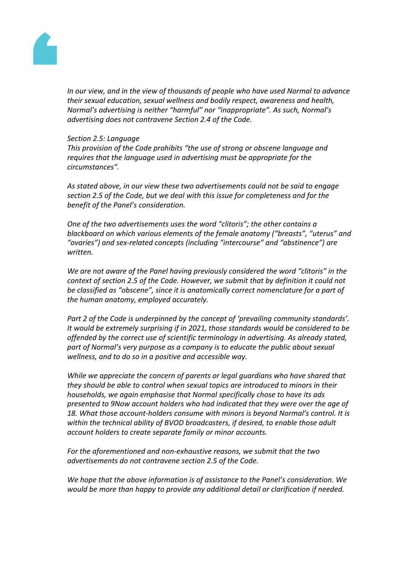

*In our view, and in the view of thousands of people who have used Normal to advance their sexual education, sexual wellness and bodily respect, awareness and health, Normal's advertising is neither "harmful" nor "inappropriate". As such, Normal's advertising does not contravene Section 2.4 of the Code.*

#### *Section 2.5: Language*

*This provision of the Code prohibits "the use of strong or obscene language and requires that the language used in advertising must be appropriate for the circumstances".*

*As stated above, in our view these two advertisements could not be said to engage section 2.5 of the Code, but we deal with this issue for completeness and for the benefit of the Panel's consideration.*

*One of the two advertisements uses the word "clitoris"; the other contains a blackboard on which various elements of the female anatomy ("breasts", "uterus" and "ovaries") and sex-related concepts (including "intercourse" and "abstinence") are written.*

*We are not aware of the Panel having previously considered the word "clitoris" in the context of section 2.5 of the Code. However, we submit that by definition it could not be classified as "obscene", since it is anatomically correct nomenclature for a part of the human anatomy, employed accurately.*

*Part 2 of the Code is underpinned by the concept of 'prevailing community standards'. It would be extremely surprising if in 2021, those standards would be considered to be offended by the correct use of scientific terminology in advertising. As already stated, part of Normal's very purpose as a company is to educate the public about sexual wellness, and to do so in a positive and accessible way.*

*While we appreciate the concern of parents or legal guardians who have shared that they should be able to control when sexual topics are introduced to minors in their households, we again emphasise that Normal specifically chose to have its ads presented to 9Now account holders who had indicated that they were over the age of 18. What those account-holders consume with minors is beyond Normal's control. It is within the technical ability of BVOD broadcasters, if desired, to enable those adult account holders to create separate family or minor accounts.*

*For the aforementioned and non-exhaustive reasons, we submit that the two advertisements do not contravene section 2.5 of the Code.*

*We hope that the above information is of assistance to the Panel's consideration. We would be more than happy to provide any additional detail or clarification if needed.*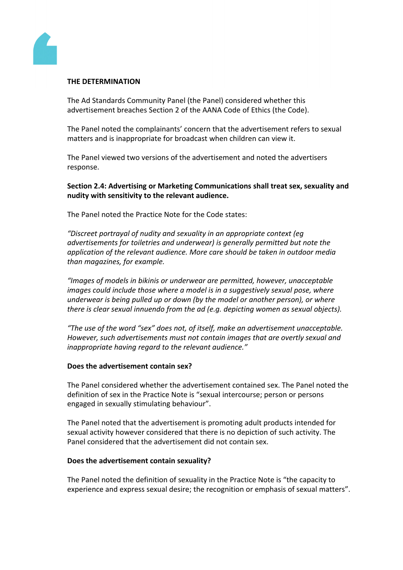

#### **THE DETERMINATION**

The Ad Standards Community Panel (the Panel) considered whether this advertisement breaches Section 2 of the AANA Code of Ethics (the Code).

The Panel noted the complainants' concern that the advertisement refers to sexual matters and is inappropriate for broadcast when children can view it.

The Panel viewed two versions of the advertisement and noted the advertisers response.

**Section 2.4: Advertising or Marketing Communications shall treat sex, sexuality and nudity with sensitivity to the relevant audience.**

The Panel noted the Practice Note for the Code states:

*"Discreet portrayal of nudity and sexuality in an appropriate context (eg advertisements for toiletries and underwear) is generally permitted but note the application of the relevant audience. More care should be taken in outdoor media than magazines, for example.*

*"Images of models in bikinis or underwear are permitted, however, unacceptable images could include those where a model is in a suggestively sexual pose, where underwear is being pulled up or down (by the model or another person), or where there is clear sexual innuendo from the ad (e.g. depicting women as sexual objects).*

*"The use of the word "sex" does not, of itself, make an advertisement unacceptable. However, such advertisements must not contain images that are overtly sexual and inappropriate having regard to the relevant audience."*

#### **Does the advertisement contain sex?**

The Panel considered whether the advertisement contained sex. The Panel noted the definition of sex in the Practice Note is "sexual intercourse; person or persons engaged in sexually stimulating behaviour".

The Panel noted that the advertisement is promoting adult products intended for sexual activity however considered that there is no depiction of such activity. The Panel considered that the advertisement did not contain sex.

#### **Does the advertisement contain sexuality?**

The Panel noted the definition of sexuality in the Practice Note is "the capacity to experience and express sexual desire; the recognition or emphasis of sexual matters".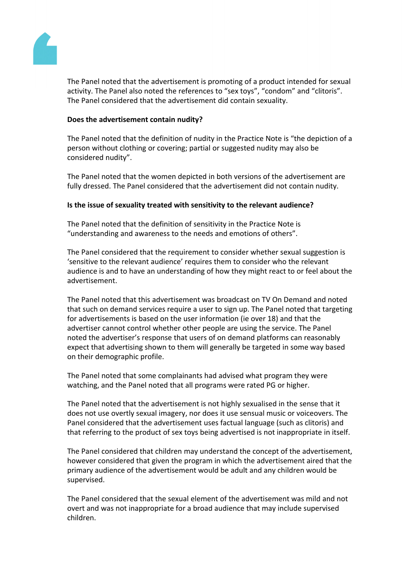

The Panel noted that the advertisement is promoting of a product intended for sexual activity. The Panel also noted the references to "sex toys", "condom" and "clitoris". The Panel considered that the advertisement did contain sexuality.

## **Does the advertisement contain nudity?**

The Panel noted that the definition of nudity in the Practice Note is "the depiction of a person without clothing or covering; partial or suggested nudity may also be considered nudity".

The Panel noted that the women depicted in both versions of the advertisement are fully dressed. The Panel considered that the advertisement did not contain nudity.

## **Is the issue of sexuality treated with sensitivity to the relevant audience?**

The Panel noted that the definition of sensitivity in the Practice Note is "understanding and awareness to the needs and emotions of others".

The Panel considered that the requirement to consider whether sexual suggestion is 'sensitive to the relevant audience' requires them to consider who the relevant audience is and to have an understanding of how they might react to or feel about the advertisement.

The Panel noted that this advertisement was broadcast on TV On Demand and noted that such on demand services require a user to sign up. The Panel noted that targeting for advertisements is based on the user information (ie over 18) and that the advertiser cannot control whether other people are using the service. The Panel noted the advertiser's response that users of on demand platforms can reasonably expect that advertising shown to them will generally be targeted in some way based on their demographic profile.

The Panel noted that some complainants had advised what program they were watching, and the Panel noted that all programs were rated PG or higher.

The Panel noted that the advertisement is not highly sexualised in the sense that it does not use overtly sexual imagery, nor does it use sensual music or voiceovers. The Panel considered that the advertisement uses factual language (such as clitoris) and that referring to the product of sex toys being advertised is not inappropriate in itself.

The Panel considered that children may understand the concept of the advertisement, however considered that given the program in which the advertisement aired that the primary audience of the advertisement would be adult and any children would be supervised.

The Panel considered that the sexual element of the advertisement was mild and not overt and was not inappropriate for a broad audience that may include supervised children.